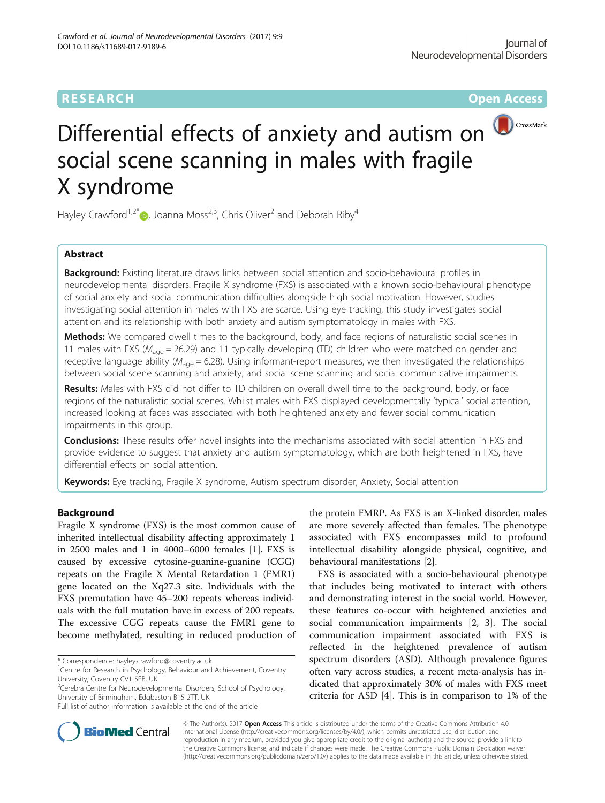

# Differential effects of anxiety and autism on social scene scanning in males with fragile X syndrome

Hayley Crawford<sup>1,2[\\*](http://orcid.org/0000-0002-1147-7029)</sup> , Joanna Moss<sup>2,3</sup>, Chris Oliver<sup>2</sup> and Deborah Riby<sup>4</sup>

## Abstract

**Background:** Existing literature draws links between social attention and socio-behavioural profiles in neurodevelopmental disorders. Fragile X syndrome (FXS) is associated with a known socio-behavioural phenotype of social anxiety and social communication difficulties alongside high social motivation. However, studies investigating social attention in males with FXS are scarce. Using eye tracking, this study investigates social attention and its relationship with both anxiety and autism symptomatology in males with FXS.

Methods: We compared dwell times to the background, body, and face regions of naturalistic social scenes in 11 males with FXS ( $M_{\text{age}}$  = 26.29) and 11 typically developing (TD) children who were matched on gender and receptive language ability ( $M_{\text{age}} = 6.28$ ). Using informant-report measures, we then investigated the relationships between social scene scanning and anxiety, and social scene scanning and social communicative impairments.

Results: Males with FXS did not differ to TD children on overall dwell time to the background, body, or face regions of the naturalistic social scenes. Whilst males with FXS displayed developmentally 'typical' social attention, increased looking at faces was associated with both heightened anxiety and fewer social communication impairments in this group.

**Conclusions:** These results offer novel insights into the mechanisms associated with social attention in FXS and provide evidence to suggest that anxiety and autism symptomatology, which are both heightened in FXS, have differential effects on social attention.

Keywords: Eye tracking, Fragile X syndrome, Autism spectrum disorder, Anxiety, Social attention

## Background

Fragile X syndrome (FXS) is the most common cause of inherited intellectual disability affecting approximately 1 in 2500 males and 1 in 4000–6000 females [[1](#page-8-0)]. FXS is caused by excessive cytosine-guanine-guanine (CGG) repeats on the Fragile X Mental Retardation 1 (FMR1) gene located on the Xq27.3 site. Individuals with the FXS premutation have 45–200 repeats whereas individuals with the full mutation have in excess of 200 repeats. The excessive CGG repeats cause the FMR1 gene to become methylated, resulting in reduced production of

\* Correspondence: [hayley.crawford@coventry.ac.uk](mailto:hayley.crawford@coventry.ac.uk) <sup>1</sup>

<sup>2</sup>Cerebra Centre for Neurodevelopmental Disorders, School of Psychology, University of Birmingham, Edgbaston B15 2TT, UK

the protein FMRP. As FXS is an X-linked disorder, males are more severely affected than females. The phenotype associated with FXS encompasses mild to profound intellectual disability alongside physical, cognitive, and behavioural manifestations [\[2](#page-8-0)].

FXS is associated with a socio-behavioural phenotype that includes being motivated to interact with others and demonstrating interest in the social world. However, these features co-occur with heightened anxieties and social communication impairments [\[2](#page-8-0), [3](#page-8-0)]. The social communication impairment associated with FXS is reflected in the heightened prevalence of autism spectrum disorders (ASD). Although prevalence figures often vary across studies, a recent meta-analysis has indicated that approximately 30% of males with FXS meet criteria for ASD [\[4](#page-8-0)]. This is in comparison to 1% of the



© The Author(s). 2017 **Open Access** This article is distributed under the terms of the Creative Commons Attribution 4.0 International License [\(http://creativecommons.org/licenses/by/4.0/](http://creativecommons.org/licenses/by/4.0/)), which permits unrestricted use, distribution, and reproduction in any medium, provided you give appropriate credit to the original author(s) and the source, provide a link to the Creative Commons license, and indicate if changes were made. The Creative Commons Public Domain Dedication waiver [\(http://creativecommons.org/publicdomain/zero/1.0/](http://creativecommons.org/publicdomain/zero/1.0/)) applies to the data made available in this article, unless otherwise stated.

<sup>&</sup>lt;sup>1</sup> Centre for Research in Psychology, Behaviour and Achievement, Coventry University, Coventry CV1 5FB, UK

Full list of author information is available at the end of the article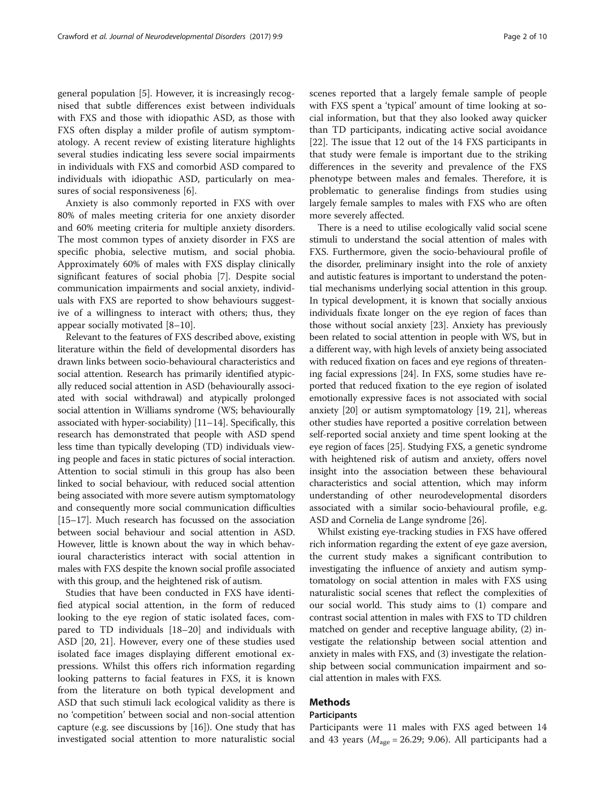general population [[5\]](#page-8-0). However, it is increasingly recognised that subtle differences exist between individuals with FXS and those with idiopathic ASD, as those with FXS often display a milder profile of autism symptomatology. A recent review of existing literature highlights several studies indicating less severe social impairments in individuals with FXS and comorbid ASD compared to individuals with idiopathic ASD, particularly on measures of social responsiveness [[6\]](#page-8-0).

Anxiety is also commonly reported in FXS with over 80% of males meeting criteria for one anxiety disorder and 60% meeting criteria for multiple anxiety disorders. The most common types of anxiety disorder in FXS are specific phobia, selective mutism, and social phobia. Approximately 60% of males with FXS display clinically significant features of social phobia [[7\]](#page-8-0). Despite social communication impairments and social anxiety, individuals with FXS are reported to show behaviours suggestive of a willingness to interact with others; thus, they appear socially motivated [\[8](#page-8-0)–[10](#page-8-0)].

Relevant to the features of FXS described above, existing literature within the field of developmental disorders has drawn links between socio-behavioural characteristics and social attention. Research has primarily identified atypically reduced social attention in ASD (behaviourally associated with social withdrawal) and atypically prolonged social attention in Williams syndrome (WS; behaviourally associated with hyper-sociability) [\[11](#page-8-0)–[14](#page-8-0)]. Specifically, this research has demonstrated that people with ASD spend less time than typically developing (TD) individuals viewing people and faces in static pictures of social interaction. Attention to social stimuli in this group has also been linked to social behaviour, with reduced social attention being associated with more severe autism symptomatology and consequently more social communication difficulties [[15](#page-8-0)–[17\]](#page-8-0). Much research has focussed on the association between social behaviour and social attention in ASD. However, little is known about the way in which behavioural characteristics interact with social attention in males with FXS despite the known social profile associated with this group, and the heightened risk of autism.

Studies that have been conducted in FXS have identified atypical social attention, in the form of reduced looking to the eye region of static isolated faces, compared to TD individuals [\[18](#page-8-0)–[20\]](#page-8-0) and individuals with ASD [[20, 21](#page-8-0)]. However, every one of these studies used isolated face images displaying different emotional expressions. Whilst this offers rich information regarding looking patterns to facial features in FXS, it is known from the literature on both typical development and ASD that such stimuli lack ecological validity as there is no 'competition' between social and non-social attention capture (e.g. see discussions by [[16](#page-8-0)]). One study that has investigated social attention to more naturalistic social scenes reported that a largely female sample of people with FXS spent a 'typical' amount of time looking at social information, but that they also looked away quicker than TD participants, indicating active social avoidance [[22\]](#page-8-0). The issue that 12 out of the 14 FXS participants in that study were female is important due to the striking differences in the severity and prevalence of the FXS phenotype between males and females. Therefore, it is problematic to generalise findings from studies using largely female samples to males with FXS who are often more severely affected.

There is a need to utilise ecologically valid social scene stimuli to understand the social attention of males with FXS. Furthermore, given the socio-behavioural profile of the disorder, preliminary insight into the role of anxiety and autistic features is important to understand the potential mechanisms underlying social attention in this group. In typical development, it is known that socially anxious individuals fixate longer on the eye region of faces than those without social anxiety [[23](#page-8-0)]. Anxiety has previously been related to social attention in people with WS, but in a different way, with high levels of anxiety being associated with reduced fixation on faces and eye regions of threatening facial expressions [\[24\]](#page-8-0). In FXS, some studies have reported that reduced fixation to the eye region of isolated emotionally expressive faces is not associated with social anxiety [\[20\]](#page-8-0) or autism symptomatology [\[19, 21](#page-8-0)], whereas other studies have reported a positive correlation between self-reported social anxiety and time spent looking at the eye region of faces [\[25\]](#page-8-0). Studying FXS, a genetic syndrome with heightened risk of autism and anxiety, offers novel insight into the association between these behavioural characteristics and social attention, which may inform understanding of other neurodevelopmental disorders associated with a similar socio-behavioural profile, e.g. ASD and Cornelia de Lange syndrome [[26](#page-8-0)].

Whilst existing eye-tracking studies in FXS have offered rich information regarding the extent of eye gaze aversion, the current study makes a significant contribution to investigating the influence of anxiety and autism symptomatology on social attention in males with FXS using naturalistic social scenes that reflect the complexities of our social world. This study aims to (1) compare and contrast social attention in males with FXS to TD children matched on gender and receptive language ability, (2) investigate the relationship between social attention and anxiety in males with FXS, and (3) investigate the relationship between social communication impairment and social attention in males with FXS.

## Methods

## Participants

Participants were 11 males with FXS aged between 14 and 43 years ( $M_{\text{age}}$  = 26.29; 9.06). All participants had a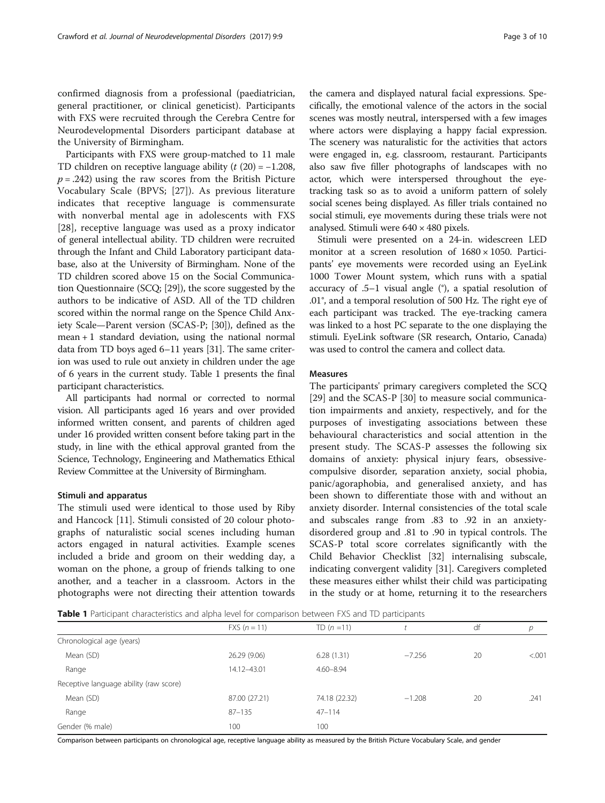confirmed diagnosis from a professional (paediatrician, general practitioner, or clinical geneticist). Participants with FXS were recruited through the Cerebra Centre for Neurodevelopmental Disorders participant database at the University of Birmingham.

Participants with FXS were group-matched to 11 male TD children on receptive language ability  $(t (20) = -1.208$ ,  $p = .242$ ) using the raw scores from the British Picture Vocabulary Scale (BPVS; [\[27](#page-8-0)]). As previous literature indicates that receptive language is commensurate with nonverbal mental age in adolescents with FXS [[28\]](#page-8-0), receptive language was used as a proxy indicator of general intellectual ability. TD children were recruited through the Infant and Child Laboratory participant database, also at the University of Birmingham. None of the TD children scored above 15 on the Social Communication Questionnaire (SCQ; [[29](#page-8-0)]), the score suggested by the authors to be indicative of ASD. All of the TD children scored within the normal range on the Spence Child Anxiety Scale—Parent version (SCAS-P; [\[30\]](#page-9-0)), defined as the mean + 1 standard deviation, using the national normal data from TD boys aged 6–11 years [\[31\]](#page-9-0). The same criterion was used to rule out anxiety in children under the age of 6 years in the current study. Table 1 presents the final participant characteristics.

All participants had normal or corrected to normal vision. All participants aged 16 years and over provided informed written consent, and parents of children aged under 16 provided written consent before taking part in the study, in line with the ethical approval granted from the Science, Technology, Engineering and Mathematics Ethical Review Committee at the University of Birmingham.

## Stimuli and apparatus

The stimuli used were identical to those used by Riby and Hancock [[11](#page-8-0)]. Stimuli consisted of 20 colour photographs of naturalistic social scenes including human actors engaged in natural activities. Example scenes included a bride and groom on their wedding day, a woman on the phone, a group of friends talking to one another, and a teacher in a classroom. Actors in the photographs were not directing their attention towards

the camera and displayed natural facial expressions. Specifically, the emotional valence of the actors in the social scenes was mostly neutral, interspersed with a few images where actors were displaying a happy facial expression. The scenery was naturalistic for the activities that actors were engaged in, e.g. classroom, restaurant. Participants also saw five filler photographs of landscapes with no actor, which were interspersed throughout the eyetracking task so as to avoid a uniform pattern of solely social scenes being displayed. As filler trials contained no social stimuli, eye movements during these trials were not analysed. Stimuli were 640 × 480 pixels.

Stimuli were presented on a 24-in. widescreen LED monitor at a screen resolution of  $1680 \times 1050$ . Participants' eye movements were recorded using an EyeLink 1000 Tower Mount system, which runs with a spatial accuracy of .5–1 visual angle (°), a spatial resolution of .01°, and a temporal resolution of 500 Hz. The right eye of each participant was tracked. The eye-tracking camera was linked to a host PC separate to the one displaying the stimuli. EyeLink software (SR research, Ontario, Canada) was used to control the camera and collect data.

## Measures

The participants' primary caregivers completed the SCQ [[29\]](#page-8-0) and the SCAS-P [[30\]](#page-9-0) to measure social communication impairments and anxiety, respectively, and for the purposes of investigating associations between these behavioural characteristics and social attention in the present study. The SCAS-P assesses the following six domains of anxiety: physical injury fears, obsessivecompulsive disorder, separation anxiety, social phobia, panic/agoraphobia, and generalised anxiety, and has been shown to differentiate those with and without an anxiety disorder. Internal consistencies of the total scale and subscales range from .83 to .92 in an anxietydisordered group and .81 to .90 in typical controls. The SCAS-P total score correlates significantly with the Child Behavior Checklist [[32\]](#page-9-0) internalising subscale, indicating convergent validity [[31\]](#page-9-0). Caregivers completed these measures either whilst their child was participating in the study or at home, returning it to the researchers

Table 1 Participant characteristics and alpha level for comparison between FXS and TD participants

| <b>Table</b> T ratucipant characteristics and alpha level for companson between FAS and TD participants |               |               |          |    |        |
|---------------------------------------------------------------------------------------------------------|---------------|---------------|----------|----|--------|
|                                                                                                         | $FXS(n = 11)$ | TD $(n = 11)$ |          | df |        |
| Chronological age (years)                                                                               |               |               |          |    |        |
| Mean (SD)                                                                                               | 26.29 (9.06)  | 6.28(1.31)    | $-7.256$ | 20 | < .001 |
| Range                                                                                                   | 14.12-43.01   | $4.60 - 8.94$ |          |    |        |
| Receptive language ability (raw score)                                                                  |               |               |          |    |        |
| Mean (SD)                                                                                               | 87.00 (27.21) | 74.18 (22.32) | $-1.208$ | 20 | .241   |
| Range                                                                                                   | $87 - 135$    | $47 - 114$    |          |    |        |
| Gender (% male)                                                                                         | 100           | 100           |          |    |        |

Comparison between participants on chronological age, receptive language ability as measured by the British Picture Vocabulary Scale, and gender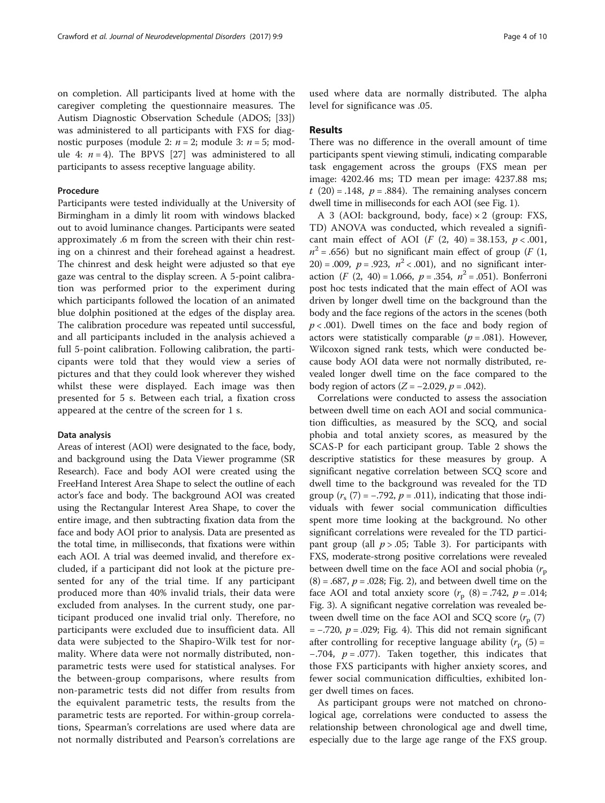on completion. All participants lived at home with the caregiver completing the questionnaire measures. The Autism Diagnostic Observation Schedule (ADOS; [\[33](#page-9-0)]) was administered to all participants with FXS for diagnostic purposes (module 2:  $n = 2$ ; module 3:  $n = 5$ ; module 4:  $n = 4$ ). The BPVS [\[27](#page-8-0)] was administered to all participants to assess receptive language ability.

#### Procedure

Participants were tested individually at the University of Birmingham in a dimly lit room with windows blacked out to avoid luminance changes. Participants were seated approximately .6 m from the screen with their chin resting on a chinrest and their forehead against a headrest. The chinrest and desk height were adjusted so that eye gaze was central to the display screen. A 5-point calibration was performed prior to the experiment during which participants followed the location of an animated blue dolphin positioned at the edges of the display area. The calibration procedure was repeated until successful, and all participants included in the analysis achieved a full 5-point calibration. Following calibration, the participants were told that they would view a series of pictures and that they could look wherever they wished whilst these were displayed. Each image was then presented for 5 s. Between each trial, a fixation cross appeared at the centre of the screen for 1 s.

#### Data analysis

Areas of interest (AOI) were designated to the face, body, and background using the Data Viewer programme (SR Research). Face and body AOI were created using the FreeHand Interest Area Shape to select the outline of each actor's face and body. The background AOI was created using the Rectangular Interest Area Shape, to cover the entire image, and then subtracting fixation data from the face and body AOI prior to analysis. Data are presented as the total time, in milliseconds, that fixations were within each AOI. A trial was deemed invalid, and therefore excluded, if a participant did not look at the picture presented for any of the trial time. If any participant produced more than 40% invalid trials, their data were excluded from analyses. In the current study, one participant produced one invalid trial only. Therefore, no participants were excluded due to insufficient data. All data were subjected to the Shapiro-Wilk test for normality. Where data were not normally distributed, nonparametric tests were used for statistical analyses. For the between-group comparisons, where results from non-parametric tests did not differ from results from the equivalent parametric tests, the results from the parametric tests are reported. For within-group correlations, Spearman's correlations are used where data are not normally distributed and Pearson's correlations are

used where data are normally distributed. The alpha level for significance was .05.

## Results

There was no difference in the overall amount of time participants spent viewing stimuli, indicating comparable task engagement across the groups (FXS mean per image: 4202.46 ms; TD mean per image: 4237.88 ms; t (20) = .148,  $p = .884$ ). The remaining analyses concern dwell time in milliseconds for each AOI (see Fig. [1](#page-4-0)).

A 3 (AOI: background, body, face) × 2 (group: FXS, TD) ANOVA was conducted, which revealed a significant main effect of AOI (*F* (2, 40) = 38.153,  $p < .001$ ,  $n^2$  = .656) but no significant main effect of group (F (1, 20) = .009,  $p = .923$ ,  $n^2 < .001$ ), and no significant interaction (*F* (2, 40) = 1.066,  $p = .354$ ,  $n^2 = .051$ ). Bonferroni post hoc tests indicated that the main effect of AOI was driven by longer dwell time on the background than the body and the face regions of the actors in the scenes (both  $p < .001$ ). Dwell times on the face and body region of actors were statistically comparable ( $p = .081$ ). However, Wilcoxon signed rank tests, which were conducted because body AOI data were not normally distributed, revealed longer dwell time on the face compared to the body region of actors  $(Z = -2.029, p = .042)$ .

Correlations were conducted to assess the association between dwell time on each AOI and social communication difficulties, as measured by the SCQ, and social phobia and total anxiety scores, as measured by the SCAS-P for each participant group. Table [2](#page-4-0) shows the descriptive statistics for these measures by group. A significant negative correlation between SCQ score and dwell time to the background was revealed for the TD group  $(r_s(7) = -.792, p = .011)$ , indicating that those individuals with fewer social communication difficulties spent more time looking at the background. No other significant correlations were revealed for the TD participant group (all  $p > .05$ ; Table [3\)](#page-5-0). For participants with FXS, moderate-strong positive correlations were revealed between dwell time on the face AOI and social phobia  $(r_p)$  $(8) = .687, p = .028; Fig. 2), and between dwell time on the$  $(8) = .687, p = .028; Fig. 2), and between dwell time on the$  $(8) = .687, p = .028; Fig. 2), and between dwell time on the$ face AOI and total anxiety score  $(r_p (8) = .742, p = .014;$ Fig. [3\)](#page-6-0). A significant negative correlation was revealed between dwell time on the face AOI and SCQ score  $(r_{\rm p} (7))$  $=$  -.720,  $p = .029$ ; Fig. [4\)](#page-6-0). This did not remain significant after controlling for receptive language ability  $(r_p (5) =$  $-704$ ,  $p = .077$ ). Taken together, this indicates that those FXS participants with higher anxiety scores, and fewer social communication difficulties, exhibited longer dwell times on faces.

As participant groups were not matched on chronological age, correlations were conducted to assess the relationship between chronological age and dwell time, especially due to the large age range of the FXS group.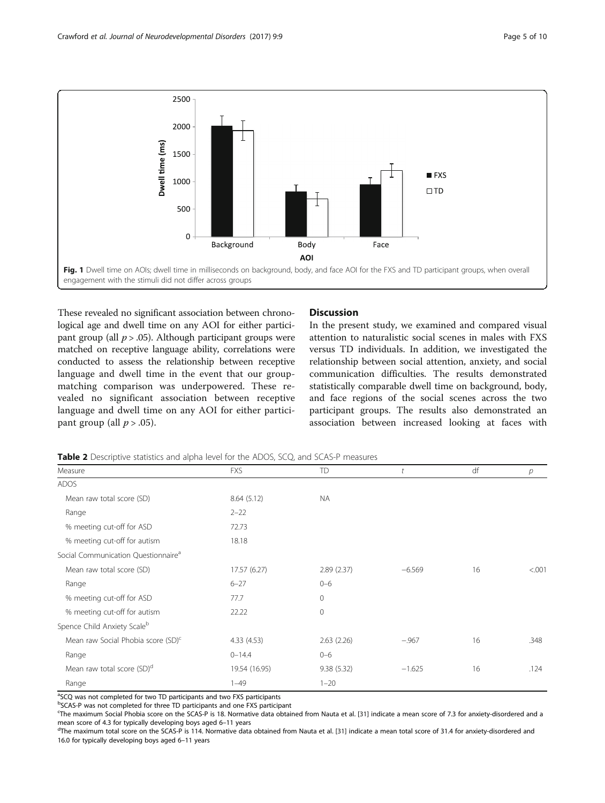<span id="page-4-0"></span>

These revealed no significant association between chronological age and dwell time on any AOI for either participant group (all  $p > .05$ ). Although participant groups were matched on receptive language ability, correlations were conducted to assess the relationship between receptive language and dwell time in the event that our groupmatching comparison was underpowered. These revealed no significant association between receptive language and dwell time on any AOI for either participant group (all  $p > .05$ ).

## **Discussion**

In the present study, we examined and compared visual attention to naturalistic social scenes in males with FXS versus TD individuals. In addition, we investigated the relationship between social attention, anxiety, and social communication difficulties. The results demonstrated statistically comparable dwell time on background, body, and face regions of the social scenes across the two participant groups. The results also demonstrated an association between increased looking at faces with

|  |  | <b>Table 2</b> Descriptive statistics and alpha level for the ADOS, SCQ, and SCAS-P measures |
|--|--|----------------------------------------------------------------------------------------------|
|--|--|----------------------------------------------------------------------------------------------|

| Measure                                         | <b>FXS</b>    | TD         |          | df | $\overline{p}$ |
|-------------------------------------------------|---------------|------------|----------|----|----------------|
| ADOS                                            |               |            |          |    |                |
| Mean raw total score (SD)                       | 8.64(5.12)    | <b>NA</b>  |          |    |                |
| Range                                           | $2 - 22$      |            |          |    |                |
| % meeting cut-off for ASD                       | 72.73         |            |          |    |                |
| % meeting cut-off for autism                    | 18.18         |            |          |    |                |
| Social Communication Ouestionnaire <sup>a</sup> |               |            |          |    |                |
| Mean raw total score (SD)                       | 17.57 (6.27)  | 2.89(2.37) | $-6.569$ | 16 | < .001         |
| Range                                           | $6 - 27$      | $0 - 6$    |          |    |                |
| % meeting cut-off for ASD                       | 77.7          | 0          |          |    |                |
| % meeting cut-off for autism                    | 22.22         | 0          |          |    |                |
| Spence Child Anxiety Scaleb                     |               |            |          |    |                |
| Mean raw Social Phobia score (SD) <sup>c</sup>  | 4.33 (4.53)   | 2.63(2.26) | $-.967$  | 16 | .348           |
| Range                                           | $0 - 14.4$    | $0 - 6$    |          |    |                |
| Mean raw total score (SD) <sup>d</sup>          | 19.54 (16.95) | 9.38(5.32) | $-1.625$ | 16 | .124           |
| Range                                           | $1 - 49$      | $1 - 20$   |          |    |                |

<sup>a</sup>SCQ was not completed for two TD participants and two FXS participants

<sup>b</sup>SCAS-P was not completed for three TD participants and one FXS participant

c The maximum Social Phobia score on the SCAS-P is 18. Normative data obtained from Nauta et al. [\[31](#page-9-0)] indicate a mean score of 7.3 for anxiety-disordered and a mean score of 4.3 for typically developing boys aged 6-11 years

<sup>d</sup>The maximum total score on the SCAS-P is 114. Normative data obtained from Nauta et al. [\[31\]](#page-9-0) indicate a mean total score of 31.4 for anxiety-disordered and 16.0 for typically developing boys aged 6–11 years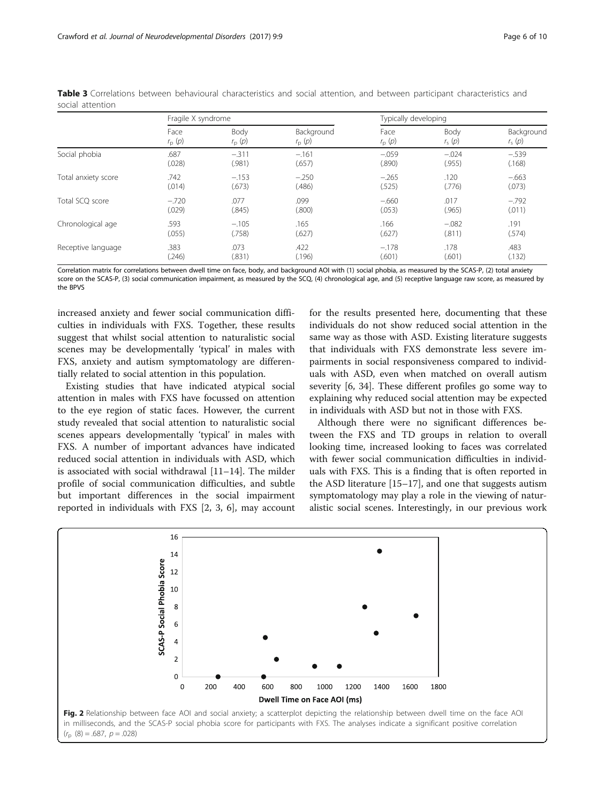|                     |                 | Fragile X syndrome |                 |                 | Typically developing |             |  |
|---------------------|-----------------|--------------------|-----------------|-----------------|----------------------|-------------|--|
|                     | Face            | Body               | Background      | Face            | Body                 | Background  |  |
|                     | $r_{\rm p}$ (p) | $r_{\rm p}$ (p)    | $r_{\rm p}$ (p) | $r_{\rm p}$ (p) | $rs$ (p)             | $r_{s}$ (p) |  |
| Social phobia       | .687            | $-.311$            | $-.161$         | $-.059$         | $-.024$              | $-539$      |  |
|                     | (.028)          | (.981)             | (.657)          | (.890)          | (.955)               | (.168)      |  |
| Total anxiety score | .742            | $-.153$            | $-.250$         | $-.265$         | .120                 | $-663$      |  |
|                     | (.014)          | (.673)             | (.486)          | (.525)          | (.776)               | (.073)      |  |
| Total SCO score     | $-.720$         | .077               | .099            | $-.660$         | .017                 | $-.792$     |  |
|                     | (.029)          | (.845)             | (.800)          | (.053)          | (.965)               | (.011)      |  |
| Chronological age   | .593            | $-.105$            | .165            | .166            | $-.082$              | .191        |  |
|                     | (.055)          | (.758)             | (.627)          | (.627)          | (.811)               | (.574)      |  |
| Receptive language  | .383            | .073               | .422            | $-.178$         | .178                 | .483        |  |
|                     | (246)           | (.831)             | (.196)          | (.601)          | (.601)               | (.132)      |  |

<span id="page-5-0"></span>Table 3 Correlations between behavioural characteristics and social attention, and between participant characteristics and social attention

Correlation matrix for correlations between dwell time on face, body, and background AOI with (1) social phobia, as measured by the SCAS-P, (2) total anxiety score on the SCAS-P, (3) social communication impairment, as measured by the SCQ, (4) chronological age, and (5) receptive language raw score, as measured by the BPVS

increased anxiety and fewer social communication difficulties in individuals with FXS. Together, these results suggest that whilst social attention to naturalistic social scenes may be developmentally 'typical' in males with FXS, anxiety and autism symptomatology are differentially related to social attention in this population.

Existing studies that have indicated atypical social attention in males with FXS have focussed on attention to the eye region of static faces. However, the current study revealed that social attention to naturalistic social scenes appears developmentally 'typical' in males with FXS. A number of important advances have indicated reduced social attention in individuals with ASD, which is associated with social withdrawal [\[11](#page-8-0)–[14\]](#page-8-0). The milder profile of social communication difficulties, and subtle but important differences in the social impairment reported in individuals with FXS [\[2](#page-8-0), [3](#page-8-0), [6](#page-8-0)], may account

for the results presented here, documenting that these individuals do not show reduced social attention in the same way as those with ASD. Existing literature suggests that individuals with FXS demonstrate less severe impairments in social responsiveness compared to individuals with ASD, even when matched on overall autism severity [[6](#page-8-0), [34](#page-9-0)]. These different profiles go some way to explaining why reduced social attention may be expected in individuals with ASD but not in those with FXS.

Although there were no significant differences between the FXS and TD groups in relation to overall looking time, increased looking to faces was correlated with fewer social communication difficulties in individuals with FXS. This is a finding that is often reported in the ASD literature [\[15](#page-8-0)–[17\]](#page-8-0), and one that suggests autism symptomatology may play a role in the viewing of naturalistic social scenes. Interestingly, in our previous work



 $(r_p (8) = .687, p = .028)$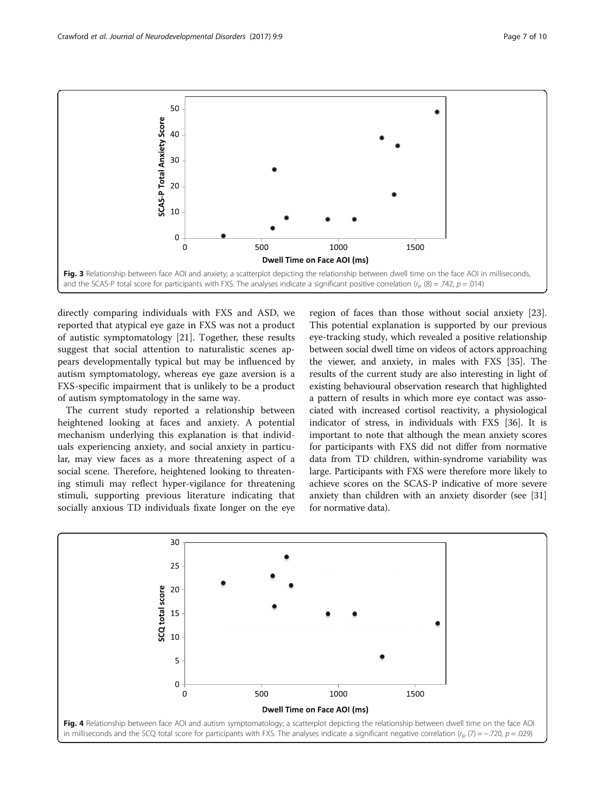<span id="page-6-0"></span>

directly comparing individuals with FXS and ASD, we reported that atypical eye gaze in FXS was not a product of autistic symptomatology [[21\]](#page-8-0). Together, these results suggest that social attention to naturalistic scenes appears developmentally typical but may be influenced by autism symptomatology, whereas eye gaze aversion is a FXS-specific impairment that is unlikely to be a product of autism symptomatology in the same way.

The current study reported a relationship between heightened looking at faces and anxiety. A potential mechanism underlying this explanation is that individuals experiencing anxiety, and social anxiety in particular, may view faces as a more threatening aspect of a social scene. Therefore, heightened looking to threatening stimuli may reflect hyper-vigilance for threatening stimuli, supporting previous literature indicating that socially anxious TD individuals fixate longer on the eye

region of faces than those without social anxiety [\[23](#page-8-0)]. This potential explanation is supported by our previous eye-tracking study, which revealed a positive relationship between social dwell time on videos of actors approaching the viewer, and anxiety, in males with FXS [\[35\]](#page-9-0). The results of the current study are also interesting in light of existing behavioural observation research that highlighted a pattern of results in which more eye contact was associated with increased cortisol reactivity, a physiological indicator of stress, in individuals with FXS [\[36\]](#page-9-0). It is important to note that although the mean anxiety scores for participants with FXS did not differ from normative data from TD children, within-syndrome variability was large. Participants with FXS were therefore more likely to achieve scores on the SCAS-P indicative of more severe anxiety than children with an anxiety disorder (see [[31](#page-9-0)] for normative data).

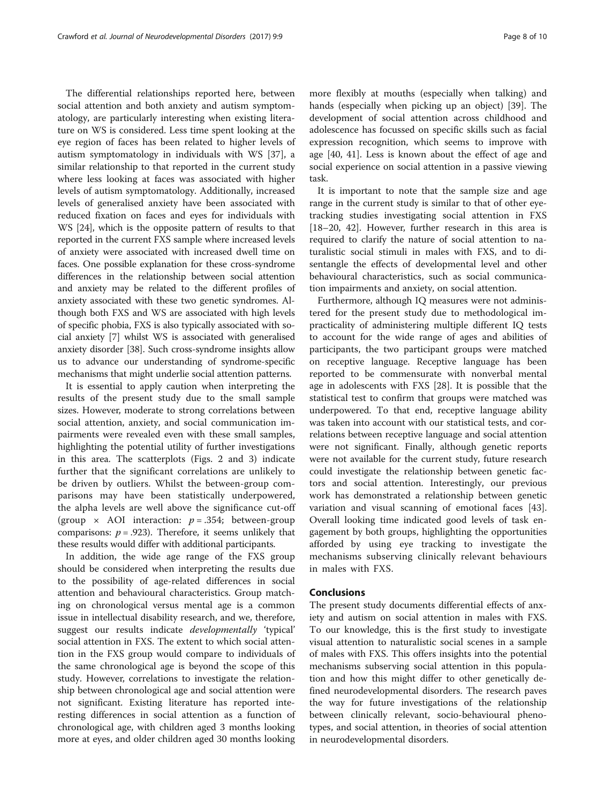The differential relationships reported here, between social attention and both anxiety and autism symptomatology, are particularly interesting when existing literature on WS is considered. Less time spent looking at the eye region of faces has been related to higher levels of autism symptomatology in individuals with WS [[37](#page-9-0)], a similar relationship to that reported in the current study where less looking at faces was associated with higher levels of autism symptomatology. Additionally, increased levels of generalised anxiety have been associated with reduced fixation on faces and eyes for individuals with WS [\[24\]](#page-8-0), which is the opposite pattern of results to that reported in the current FXS sample where increased levels of anxiety were associated with increased dwell time on faces. One possible explanation for these cross-syndrome differences in the relationship between social attention and anxiety may be related to the different profiles of anxiety associated with these two genetic syndromes. Although both FXS and WS are associated with high levels of specific phobia, FXS is also typically associated with social anxiety [\[7](#page-8-0)] whilst WS is associated with generalised anxiety disorder [[38](#page-9-0)]. Such cross-syndrome insights allow us to advance our understanding of syndrome-specific mechanisms that might underlie social attention patterns.

It is essential to apply caution when interpreting the results of the present study due to the small sample sizes. However, moderate to strong correlations between social attention, anxiety, and social communication impairments were revealed even with these small samples, highlighting the potential utility of further investigations in this area. The scatterplots (Figs. [2](#page-5-0) and [3\)](#page-6-0) indicate further that the significant correlations are unlikely to be driven by outliers. Whilst the between-group comparisons may have been statistically underpowered, the alpha levels are well above the significance cut-off (group  $\times$  AOI interaction:  $p = .354$ ; between-group comparisons:  $p = .923$ ). Therefore, it seems unlikely that these results would differ with additional participants.

In addition, the wide age range of the FXS group should be considered when interpreting the results due to the possibility of age-related differences in social attention and behavioural characteristics. Group matching on chronological versus mental age is a common issue in intellectual disability research, and we, therefore, suggest our results indicate developmentally 'typical' social attention in FXS. The extent to which social attention in the FXS group would compare to individuals of the same chronological age is beyond the scope of this study. However, correlations to investigate the relationship between chronological age and social attention were not significant. Existing literature has reported interesting differences in social attention as a function of chronological age, with children aged 3 months looking more at eyes, and older children aged 30 months looking

more flexibly at mouths (especially when talking) and hands (especially when picking up an object) [\[39\]](#page-9-0). The development of social attention across childhood and adolescence has focussed on specific skills such as facial expression recognition, which seems to improve with age [\[40](#page-9-0), [41](#page-9-0)]. Less is known about the effect of age and social experience on social attention in a passive viewing task.

It is important to note that the sample size and age range in the current study is similar to that of other eyetracking studies investigating social attention in FXS [[18](#page-8-0)–[20](#page-8-0), [42\]](#page-9-0). However, further research in this area is required to clarify the nature of social attention to naturalistic social stimuli in males with FXS, and to disentangle the effects of developmental level and other behavioural characteristics, such as social communication impairments and anxiety, on social attention.

Furthermore, although IQ measures were not administered for the present study due to methodological impracticality of administering multiple different IQ tests to account for the wide range of ages and abilities of participants, the two participant groups were matched on receptive language. Receptive language has been reported to be commensurate with nonverbal mental age in adolescents with FXS [\[28\]](#page-8-0). It is possible that the statistical test to confirm that groups were matched was underpowered. To that end, receptive language ability was taken into account with our statistical tests, and correlations between receptive language and social attention were not significant. Finally, although genetic reports were not available for the current study, future research could investigate the relationship between genetic factors and social attention. Interestingly, our previous work has demonstrated a relationship between genetic variation and visual scanning of emotional faces [\[43](#page-9-0)]. Overall looking time indicated good levels of task engagement by both groups, highlighting the opportunities afforded by using eye tracking to investigate the mechanisms subserving clinically relevant behaviours in males with FXS.

## Conclusions

The present study documents differential effects of anxiety and autism on social attention in males with FXS. To our knowledge, this is the first study to investigate visual attention to naturalistic social scenes in a sample of males with FXS. This offers insights into the potential mechanisms subserving social attention in this population and how this might differ to other genetically defined neurodevelopmental disorders. The research paves the way for future investigations of the relationship between clinically relevant, socio-behavioural phenotypes, and social attention, in theories of social attention in neurodevelopmental disorders.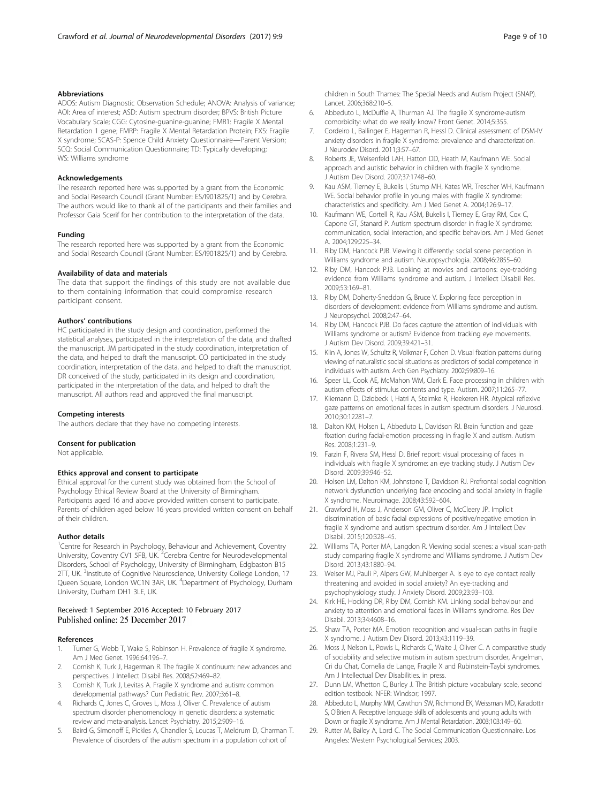<span id="page-8-0"></span>ADOS: Autism Diagnostic Observation Schedule; ANOVA: Analysis of variance; AOI: Area of interest; ASD: Autism spectrum disorder; BPVS: British Picture Vocabulary Scale; CGG: Cytosine-guanine-guanine; FMR1: Fragile X Mental Retardation 1 gene; FMRP: Fragile X Mental Retardation Protein; FXS: Fragile X syndrome; SCAS-P: Spence Child Anxiety Questionnaire—Parent Version; SCQ: Social Communication Questionnaire; TD: Typically developing; WS: Williams syndrome

#### Acknowledgements

The research reported here was supported by a grant from the Economic and Social Research Council (Grant Number: ES/I901825/1) and by Cerebra. The authors would like to thank all of the participants and their families and Professor Gaia Scerif for her contribution to the interpretation of the data.

#### Funding

The research reported here was supported by a grant from the Economic and Social Research Council (Grant Number: ES/I901825/1) and by Cerebra.

#### Availability of data and materials

The data that support the findings of this study are not available due to them containing information that could compromise research participant consent.

#### Authors' contributions

HC participated in the study design and coordination, performed the statistical analyses, participated in the interpretation of the data, and drafted the manuscript. JM participated in the study coordination, interpretation of the data, and helped to draft the manuscript. CO participated in the study coordination, interpretation of the data, and helped to draft the manuscript. DR conceived of the study, participated in its design and coordination, participated in the interpretation of the data, and helped to draft the manuscript. All authors read and approved the final manuscript.

#### Competing interests

The authors declare that they have no competing interests.

#### Consent for publication

Not applicable.

#### Ethics approval and consent to participate

Ethical approval for the current study was obtained from the School of Psychology Ethical Review Board at the University of Birmingham. Participants aged 16 and above provided written consent to participate. Parents of children aged below 16 years provided written consent on behalf of their children.

#### Author details

<sup>1</sup> Centre for Research in Psychology, Behaviour and Achievement, Coventry University, Coventry CV1 5FB, UK. <sup>2</sup>Cerebra Centre for Neurodevelopmental Disorders, School of Psychology, University of Birmingham, Edgbaston B15 2TT, UK. <sup>3</sup>Institute of Cognitive Neuroscience, University College London, 17 Queen Square, London WC1N 3AR, UK. <sup>4</sup>Department of Psychology, Durham University, Durham DH1 3LE, UK.

#### Received: 1 September 2016 Accepted: 10 February 2017 Published online: 25 December 2017

#### References

- 1. Turner G, Webb T, Wake S, Robinson H. Prevalence of fragile X syndrome. Am J Med Genet. 1996;64:196–7.
- 2. Cornish K, Turk J, Hagerman R. The fragile X continuum: new advances and perspectives. J Intellect Disabil Res. 2008;52:469–82.
- 3. Cornish K, Turk J, Levitas A. Fragile X syndrome and autism: common developmental pathways? Curr Pediatric Rev. 2007;3:61–8.
- Richards C, Jones C, Groves L, Moss J, Oliver C. Prevalence of autism spectrum disorder phenomenology in genetic disorders: a systematic review and meta-analysis. Lancet Psychiatry. 2015;2:909–16.
- 5. Baird G, Simonoff E, Pickles A, Chandler S, Loucas T, Meldrum D, Charman T. Prevalence of disorders of the autism spectrum in a population cohort of

children in South Thames: The Special Needs and Autism Project (SNAP). Lancet. 2006;368:210–5.

- 6. Abbeduto L, McDuffie A, Thurman AJ. The fragile X syndrome-autism comorbidity: what do we really know? Front Genet. 2014;5:355.
- 7. Cordeiro L, Ballinger E, Hagerman R, Hessl D. Clinical assessment of DSM-IV anxiety disorders in fragile X syndrome: prevalence and characterization. J Neurodev Disord. 2011;3:57–67.
- 8. Roberts JE, Weisenfeld LAH, Hatton DD, Heath M, Kaufmann WE. Social approach and autistic behavior in children with fragile X syndrome. J Autism Dev Disord. 2007;37:1748–60.
- Kau ASM, Tierney E, Bukelis I, Stump MH, Kates WR, Trescher WH, Kaufmann WE. Social behavior profile in young males with fragile X syndrome: characteristics and specificity. Am J Med Genet A. 2004;126:9–17.
- 10. Kaufmann WE, Cortell R, Kau ASM, Bukelis I, Tierney E, Gray RM, Cox C, Capone GT, Stanard P. Autism spectrum disorder in fragile X syndrome: communication, social interaction, and specific behaviors. Am J Med Genet A. 2004;129:225–34.
- 11. Riby DM, Hancock PJB. Viewing it differently: social scene perception in Williams syndrome and autism. Neuropsychologia. 2008;46:2855–60.
- 12. Riby DM, Hancock PJB. Looking at movies and cartoons: eye-tracking evidence from Williams syndrome and autism. J Intellect Disabil Res. 2009;53:169–81.
- 13. Riby DM, Doherty-Sneddon G, Bruce V. Exploring face perception in disorders of development: evidence from Williams syndrome and autism. J Neuropsychol. 2008;2:47–64.
- 14. Riby DM, Hancock PJB. Do faces capture the attention of individuals with Williams syndrome or autism? Evidence from tracking eye movements. J Autism Dev Disord. 2009;39:421–31.
- 15. Klin A, Jones W, Schultz R, Volkmar F, Cohen D. Visual fixation patterns during viewing of naturalistic social situations as predictors of social competence in individuals with autism. Arch Gen Psychiatry. 2002;59:809–16.
- 16. Speer LL, Cook AE, McMahon WM, Clark E. Face processing in children with autism effects of stimulus contents and type. Autism. 2007;11:265–77.
- 17. Kliemann D, Dziobeck I, Hatri A, Steimke R, Heekeren HR. Atypical reflexive gaze patterns on emotional faces in autism spectrum disorders. J Neurosci. 2010;30:12281–7.
- 18. Dalton KM, Holsen L, Abbeduto L, Davidson RJ. Brain function and gaze fixation during facial-emotion processing in fragile X and autism. Autism Res. 2008;1:231–9.
- 19. Farzin F, Rivera SM, Hessl D. Brief report: visual processing of faces in individuals with fragile X syndrome: an eye tracking study. J Autism Dev Disord. 2009;39:946–52.
- 20. Holsen LM, Dalton KM, Johnstone T, Davidson RJ. Prefrontal social cognition network dysfunction underlying face encoding and social anxiety in fragile X syndrome. Neuroimage. 2008;43:592–604.
- 21. Crawford H, Moss J, Anderson GM, Oliver C, McCleery JP. Implicit discrimination of basic facial expressions of positive/negative emotion in fragile X syndrome and autism spectrum disorder. Am J Intellect Dev Disabil. 2015;120:328–45.
- 22. Williams TA, Porter MA, Langdon R. Viewing social scenes: a visual scan-path study comparing fragile X syndrome and Williams syndrome. J Autism Dev Disord. 2013;43:1880–94.
- 23. Weiser MJ, Pauli P, Alpers GW, Muhlberger A. Is eye to eye contact really threatening and avoided in social anxiety? An eye-tracking and psychophysiology study. J Anxiety Disord. 2009;23:93–103.
- 24. Kirk HE, Hocking DR, Riby DM, Cornish KM. Linking social behaviour and anxiety to attention and emotional faces in Williams syndrome. Res Dev Disabil. 2013;34:4608–16.
- 25. Shaw TA, Porter MA. Emotion recognition and visual-scan paths in fragile X syndrome. J Autism Dev Disord. 2013;43:1119–39.
- 26. Moss J, Nelson L, Powis L, Richards C, Waite J, Oliver C. A comparative study of sociability and selective mutism in autism spectrum disorder, Angelman, Cri du Chat, Cornelia de Lange, Fragile X and Rubinstein-Taybi syndromes. Am J Intellectual Dev Disabilities. in press.
- 27. Dunn LM, Whetton C, Burley J. The British picture vocabulary scale, second edition testbook. NFER: Windsor; 1997.
- 28. Abbeduto L, Murphy MM, Cawthon SW, Richmond EK, Weissman MD, Karadottir S, O'Brien A. Receptive language skills of adolescents and young adults with Down or fragile X syndrome. Am J Mental Retardation. 2003;103:149–60.
- 29. Rutter M, Bailey A, Lord C. The Social Communication Questionnaire. Los Angeles: Western Psychological Services; 2003.